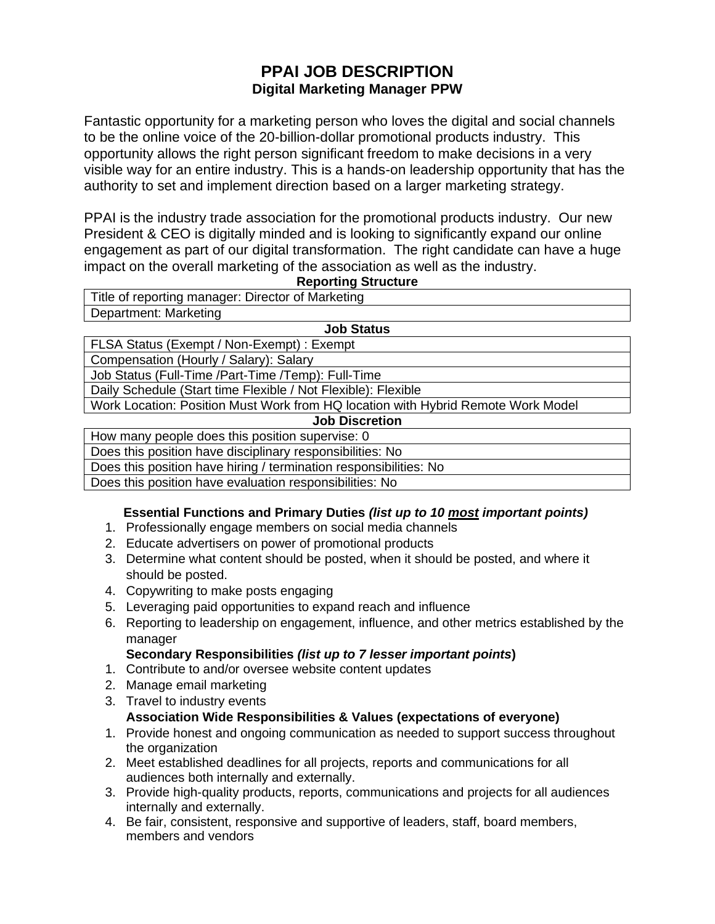# **PPAI JOB DESCRIPTION Digital Marketing Manager PPW**

Fantastic opportunity for a marketing person who loves the digital and social channels to be the online voice of the 20-billion-dollar promotional products industry. This opportunity allows the right person significant freedom to make decisions in a very visible way for an entire industry. This is a hands-on leadership opportunity that has the authority to set and implement direction based on a larger marketing strategy.

PPAI is the industry trade association for the promotional products industry. Our new President & CEO is digitally minded and is looking to significantly expand our online engagement as part of our digital transformation. The right candidate can have a huge impact on the overall marketing of the association as well as the industry.

#### **Reporting Structure**

| Title of reporting manager: Director of Marketing |  |  |
|---------------------------------------------------|--|--|
| Department: Marketing                             |  |  |
| <b>Job Status</b>                                 |  |  |

FLSA Status (Exempt / Non-Exempt) : Exempt Compensation (Hourly / Salary): Salary

Job Status (Full-Time /Part-Time /Temp): Full-Time

Daily Schedule (Start time Flexible / Not Flexible): Flexible

Work Location: Position Must Work from HQ location with Hybrid Remote Work Model

**Job Discretion**

How many people does this position supervise: 0 Does this position have disciplinary responsibilities: No

Does this position have hiring / termination responsibilities: No

Does this position have evaluation responsibilities: No

# **Essential Functions and Primary Duties** *(list up to 10 most important points)*

- 1. Professionally engage members on social media channels
- 2. Educate advertisers on power of promotional products
- 3. Determine what content should be posted, when it should be posted, and where it should be posted.
- 4. Copywriting to make posts engaging
- 5. Leveraging paid opportunities to expand reach and influence
- 6. Reporting to leadership on engagement, influence, and other metrics established by the manager
	- **Secondary Responsibilities** *(list up to 7 lesser important points***)**
- 1. Contribute to and/or oversee website content updates
- 2. Manage email marketing
- 3. Travel to industry events **Association Wide Responsibilities & Values (expectations of everyone)**
- 1. Provide honest and ongoing communication as needed to support success throughout the organization
- 2. Meet established deadlines for all projects, reports and communications for all audiences both internally and externally.
- 3. Provide high-quality products, reports, communications and projects for all audiences internally and externally.
- 4. Be fair, consistent, responsive and supportive of leaders, staff, board members, members and vendors